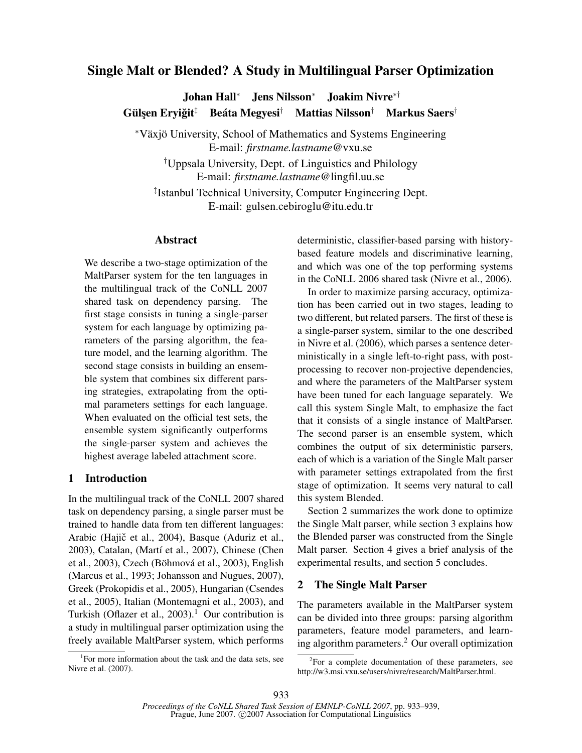# Single Malt or Blended? A Study in Multilingual Parser Optimization

Johan Hall<sup>∗</sup> Jens Nilsson<sup>∗</sup> Joakim Nivre∗† Gülsen Erviğit<sup>‡</sup>  $^\ddagger$   $\,$  Beáta Megyesi $^\dagger$   $\,$  Mattias Nilsson $^\dagger$   $\,$  Markus Saers $^\dagger$ 

\*Växjö University, School of Mathematics and Systems Engineering E-mail: *firstname.lastname*@vxu.se

†Uppsala University, Dept. of Linguistics and Philology E-mail: *firstname.lastname*@lingfil.uu.se

‡ Istanbul Technical University, Computer Engineering Dept. E-mail: gulsen.cebiroglu@itu.edu.tr

### Abstract

We describe a two-stage optimization of the MaltParser system for the ten languages in the multilingual track of the CoNLL 2007 shared task on dependency parsing. The first stage consists in tuning a single-parser system for each language by optimizing parameters of the parsing algorithm, the feature model, and the learning algorithm. The second stage consists in building an ensemble system that combines six different parsing strategies, extrapolating from the optimal parameters settings for each language. When evaluated on the official test sets, the ensemble system significantly outperforms the single-parser system and achieves the highest average labeled attachment score.

# 1 Introduction

In the multilingual track of the CoNLL 2007 shared task on dependency parsing, a single parser must be trained to handle data from ten different languages: Arabic (Hajič et al., 2004), Basque (Aduriz et al., 2003), Catalan, (Martí et al., 2007), Chinese (Chen et al., 2003), Czech (Böhmová et al., 2003), English (Marcus et al., 1993; Johansson and Nugues, 2007), Greek (Prokopidis et al., 2005), Hungarian (Csendes et al., 2005), Italian (Montemagni et al., 2003), and Turkish (Oflazer et al.,  $2003$ ).<sup>1</sup> Our contribution is a study in multilingual parser optimization using the freely available MaltParser system, which performs

<sup>1</sup>For more information about the task and the data sets, see Nivre et al. (2007).

deterministic, classifier-based parsing with historybased feature models and discriminative learning, and which was one of the top performing systems in the CoNLL 2006 shared task (Nivre et al., 2006).

In order to maximize parsing accuracy, optimization has been carried out in two stages, leading to two different, but related parsers. The first of these is a single-parser system, similar to the one described in Nivre et al. (2006), which parses a sentence deterministically in a single left-to-right pass, with postprocessing to recover non-projective dependencies, and where the parameters of the MaltParser system have been tuned for each language separately. We call this system Single Malt, to emphasize the fact that it consists of a single instance of MaltParser. The second parser is an ensemble system, which combines the output of six deterministic parsers, each of which is a variation of the Single Malt parser with parameter settings extrapolated from the first stage of optimization. It seems very natural to call this system Blended.

Section 2 summarizes the work done to optimize the Single Malt parser, while section 3 explains how the Blended parser was constructed from the Single Malt parser. Section 4 gives a brief analysis of the experimental results, and section 5 concludes.

### 2 The Single Malt Parser

The parameters available in the MaltParser system can be divided into three groups: parsing algorithm parameters, feature model parameters, and learning algorithm parameters.<sup>2</sup> Our overall optimization

 ${}^{2}$ For a complete documentation of these parameters, see http://w3.msi.vxu.se/users/nivre/research/MaltParser.html.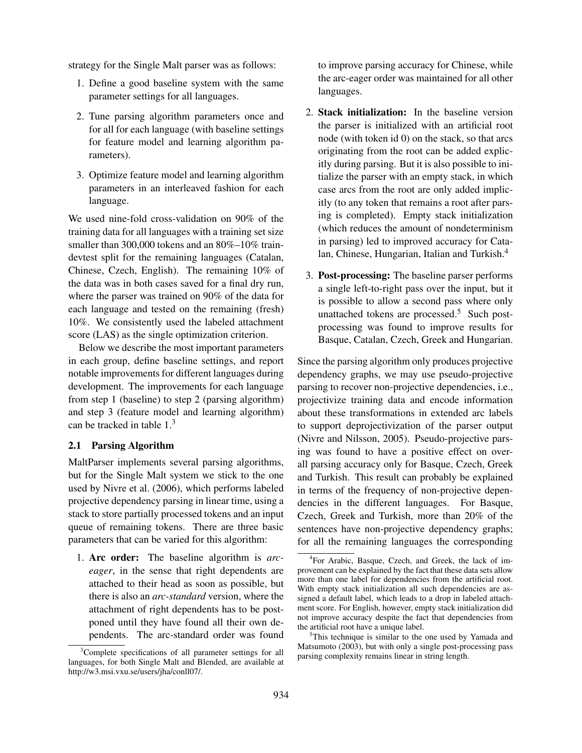strategy for the Single Malt parser was as follows:

- 1. Define a good baseline system with the same parameter settings for all languages.
- 2. Tune parsing algorithm parameters once and for all for each language (with baseline settings for feature model and learning algorithm parameters).
- 3. Optimize feature model and learning algorithm parameters in an interleaved fashion for each language.

We used nine-fold cross-validation on 90% of the training data for all languages with a training set size smaller than 300,000 tokens and an 80%–10% traindevtest split for the remaining languages (Catalan, Chinese, Czech, English). The remaining 10% of the data was in both cases saved for a final dry run, where the parser was trained on 90% of the data for each language and tested on the remaining (fresh) 10%. We consistently used the labeled attachment score (LAS) as the single optimization criterion.

Below we describe the most important parameters in each group, define baseline settings, and report notable improvements for different languages during development. The improvements for each language from step 1 (baseline) to step 2 (parsing algorithm) and step 3 (feature model and learning algorithm) can be tracked in table  $1<sup>3</sup>$ 

#### 2.1 Parsing Algorithm

MaltParser implements several parsing algorithms, but for the Single Malt system we stick to the one used by Nivre et al. (2006), which performs labeled projective dependency parsing in linear time, using a stack to store partially processed tokens and an input queue of remaining tokens. There are three basic parameters that can be varied for this algorithm:

1. Arc order: The baseline algorithm is *arceager*, in the sense that right dependents are attached to their head as soon as possible, but there is also an *arc-standard* version, where the attachment of right dependents has to be postponed until they have found all their own dependents. The arc-standard order was found

to improve parsing accuracy for Chinese, while the arc-eager order was maintained for all other languages.

- 2. Stack initialization: In the baseline version the parser is initialized with an artificial root node (with token id 0) on the stack, so that arcs originating from the root can be added explicitly during parsing. But it is also possible to initialize the parser with an empty stack, in which case arcs from the root are only added implicitly (to any token that remains a root after parsing is completed). Empty stack initialization (which reduces the amount of nondeterminism in parsing) led to improved accuracy for Catalan, Chinese, Hungarian, Italian and Turkish.<sup>4</sup>
- 3. Post-processing: The baseline parser performs a single left-to-right pass over the input, but it is possible to allow a second pass where only unattached tokens are processed.<sup>5</sup> Such postprocessing was found to improve results for Basque, Catalan, Czech, Greek and Hungarian.

Since the parsing algorithm only produces projective dependency graphs, we may use pseudo-projective parsing to recover non-projective dependencies, i.e., projectivize training data and encode information about these transformations in extended arc labels to support deprojectivization of the parser output (Nivre and Nilsson, 2005). Pseudo-projective parsing was found to have a positive effect on overall parsing accuracy only for Basque, Czech, Greek and Turkish. This result can probably be explained in terms of the frequency of non-projective dependencies in the different languages. For Basque, Czech, Greek and Turkish, more than 20% of the sentences have non-projective dependency graphs; for all the remaining languages the corresponding

<sup>&</sup>lt;sup>3</sup>Complete specifications of all parameter settings for all languages, for both Single Malt and Blended, are available at http://w3.msi.vxu.se/users/jha/conll07/.

<sup>4</sup> For Arabic, Basque, Czech, and Greek, the lack of improvement can be explained by the fact that these data sets allow more than one label for dependencies from the artificial root. With empty stack initialization all such dependencies are assigned a default label, which leads to a drop in labeled attachment score. For English, however, empty stack initialization did not improve accuracy despite the fact that dependencies from the artificial root have a unique label.

<sup>&</sup>lt;sup>5</sup>This technique is similar to the one used by Yamada and Matsumoto (2003), but with only a single post-processing pass parsing complexity remains linear in string length.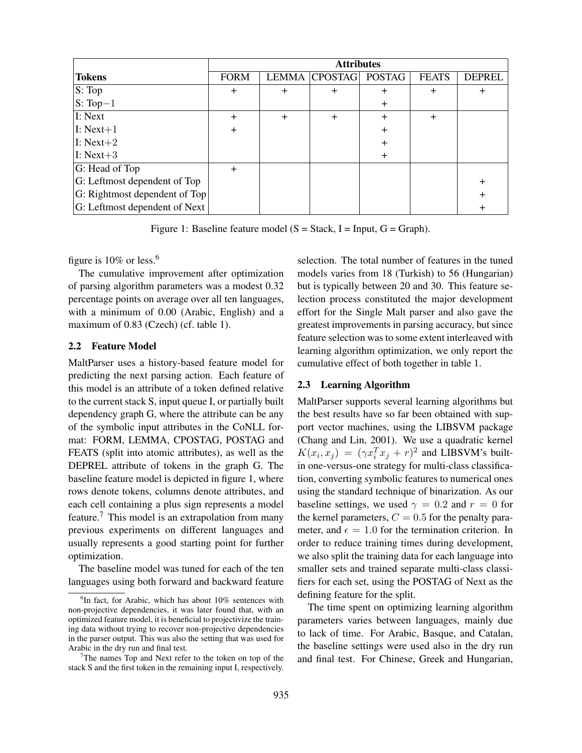|                               | <b>Attributes</b> |        |                      |               |              |               |  |
|-------------------------------|-------------------|--------|----------------------|---------------|--------------|---------------|--|
| <b>Tokens</b>                 | <b>FORM</b>       |        | <b>LEMMA CPOSTAG</b> | <b>POSTAG</b> | <b>FEATS</b> | <b>DEPREL</b> |  |
| S: Top                        | $\ddot{}$         | $^{+}$ |                      | $\ddot{}$     | $\pm$        | $\div$        |  |
| $S: Top-1$                    |                   |        |                      | $\pm$         |              |               |  |
| I: Next                       | $\mathrm{+}$      | $^{+}$ |                      |               | $\pm$        |               |  |
| $\vert\mathbf{I}:$ Next+1     |                   |        |                      |               |              |               |  |
| $\vert$ I: Next+2             |                   |        |                      |               |              |               |  |
| $I: Next+3$                   |                   |        |                      | $\pm$         |              |               |  |
| G: Head of Top                | $\mathrm{+}$      |        |                      |               |              |               |  |
| G: Leftmost dependent of Top  |                   |        |                      |               |              | $\pm$         |  |
| G: Rightmost dependent of Top |                   |        |                      |               |              | $^+$          |  |
| G: Leftmost dependent of Next |                   |        |                      |               |              |               |  |

Figure 1: Baseline feature model ( $S = Stack$ ,  $I = Input$ ,  $G = Graph$ ).

figure is  $10\%$  or less.<sup>6</sup>

The cumulative improvement after optimization of parsing algorithm parameters was a modest 0.32 percentage points on average over all ten languages, with a minimum of 0.00 (Arabic, English) and a maximum of 0.83 (Czech) (cf. table 1).

#### 2.2 Feature Model

MaltParser uses a history-based feature model for predicting the next parsing action. Each feature of this model is an attribute of a token defined relative to the current stack S, input queue I, or partially built dependency graph G, where the attribute can be any of the symbolic input attributes in the CoNLL format: FORM, LEMMA, CPOSTAG, POSTAG and FEATS (split into atomic attributes), as well as the DEPREL attribute of tokens in the graph G. The baseline feature model is depicted in figure 1, where rows denote tokens, columns denote attributes, and each cell containing a plus sign represents a model feature.<sup>7</sup> This model is an extrapolation from many previous experiments on different languages and usually represents a good starting point for further optimization.

The baseline model was tuned for each of the ten languages using both forward and backward feature selection. The total number of features in the tuned models varies from 18 (Turkish) to 56 (Hungarian) but is typically between 20 and 30. This feature selection process constituted the major development effort for the Single Malt parser and also gave the greatest improvements in parsing accuracy, but since feature selection was to some extent interleaved with learning algorithm optimization, we only report the cumulative effect of both together in table 1.

#### 2.3 Learning Algorithm

MaltParser supports several learning algorithms but the best results have so far been obtained with support vector machines, using the LIBSVM package (Chang and Lin, 2001). We use a quadratic kernel  $K(x_i, x_j) = (\gamma x_i^T x_j + r)^2$  and LIBSVM's builtin one-versus-one strategy for multi-class classification, converting symbolic features to numerical ones using the standard technique of binarization. As our baseline settings, we used  $\gamma = 0.2$  and  $r = 0$  for the kernel parameters,  $C = 0.5$  for the penalty parameter, and  $\epsilon = 1.0$  for the termination criterion. In order to reduce training times during development, we also split the training data for each language into smaller sets and trained separate multi-class classifiers for each set, using the POSTAG of Next as the defining feature for the split.

The time spent on optimizing learning algorithm parameters varies between languages, mainly due to lack of time. For Arabic, Basque, and Catalan, the baseline settings were used also in the dry run and final test. For Chinese, Greek and Hungarian,

<sup>&</sup>lt;sup>6</sup>In fact, for Arabic, which has about 10% sentences with non-projective dependencies, it was later found that, with an optimized feature model, it is beneficial to projectivize the training data without trying to recover non-projective dependencies in the parser output. This was also the setting that was used for Arabic in the dry run and final test.

The names Top and Next refer to the token on top of the stack S and the first token in the remaining input I, respectively.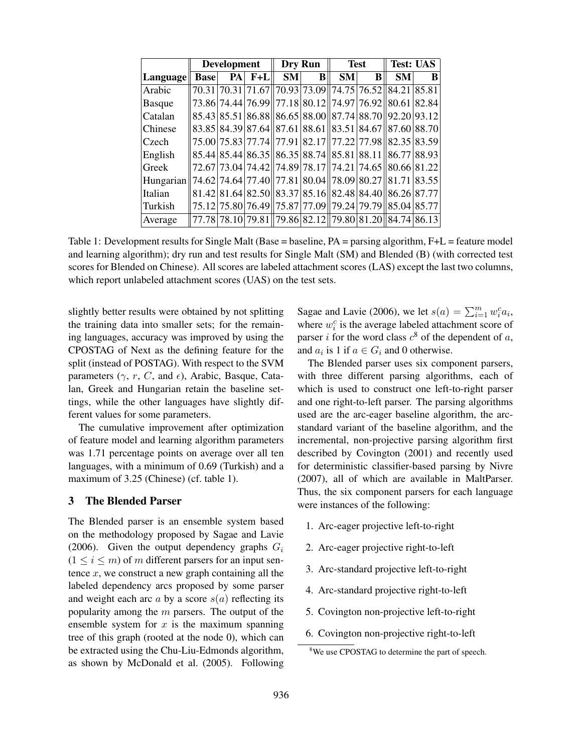|               | <b>Development</b> |  |            |           | Dry Run         |                                                                                                                                    | <b>Test</b> | <b>Test: UAS</b> |   |
|---------------|--------------------|--|------------|-----------|-----------------|------------------------------------------------------------------------------------------------------------------------------------|-------------|------------------|---|
| Language      | <b>Base</b>        |  | $PA$ $F+L$ | <b>SM</b> | B <sub>  </sub> | SM <sub>l</sub>                                                                                                                    | B           | <b>SM</b>        | B |
| Arabic        |                    |  |            |           |                 | 70.31 70.31 71.67 70.93 73.09 74.75 76.52 84.21 85.81                                                                              |             |                  |   |
| <b>Basque</b> |                    |  |            |           |                 | 73.86 74.44 76.99  77.18 80.12  74.97 76.92  80.61 82.84                                                                           |             |                  |   |
| Catalan       |                    |  |            |           |                 | 85.43 85.51 86.88 86.65 88.00 87.74 88.70 92.20 93.12                                                                              |             |                  |   |
| Chinese       |                    |  |            |           |                 | 83.85 84.39 87.64 87.61 88.61 83.51 84.67 87.60 88.70                                                                              |             |                  |   |
| Czech         |                    |  |            |           |                 | 75.00 75.83 77.74  77.91 82.17  77.22 77.98  82.35 83.59                                                                           |             |                  |   |
| English       |                    |  |            |           |                 | 85.44 85.44 86.35 86.35 88.74 85.81 88.11 86.77 88.93                                                                              |             |                  |   |
| Greek         |                    |  |            |           |                 | 72.67 73.04 74.42 74.89 78.17 74.21 74.65 80.66 81.22                                                                              |             |                  |   |
| Hungarian     |                    |  |            |           |                 | $\left  74.62 \right  74.64 \left  77.40 \right  77.81 \left  80.04 \right  78.09 \left  80.27 \right  81.71 \left  83.55 \right $ |             |                  |   |
| Italian       |                    |  |            |           |                 | $81.42 81.64 82.50  83.37 85.16  82.48 84.40  86.26 87.77$                                                                         |             |                  |   |
| Turkish       |                    |  |            |           |                 | 75.12 75.80 76.49  75.87 77.09  79.24 79.79  85.04 85.77                                                                           |             |                  |   |
| Average       |                    |  |            |           |                 | 77.78 78.10 79.81 79.86 82.12 79.80 81.20 84.74 86.13                                                                              |             |                  |   |

Table 1: Development results for Single Malt (Base = baseline, PA = parsing algorithm, F+L = feature model and learning algorithm); dry run and test results for Single Malt (SM) and Blended (B) (with corrected test scores for Blended on Chinese). All scores are labeled attachment scores (LAS) except the last two columns, which report unlabeled attachment scores (UAS) on the test sets.

slightly better results were obtained by not splitting the training data into smaller sets; for the remaining languages, accuracy was improved by using the CPOSTAG of Next as the defining feature for the split (instead of POSTAG). With respect to the SVM parameters  $(\gamma, r, C, \text{ and } \epsilon)$ , Arabic, Basque, Catalan, Greek and Hungarian retain the baseline settings, while the other languages have slightly different values for some parameters.

The cumulative improvement after optimization of feature model and learning algorithm parameters was 1.71 percentage points on average over all ten languages, with a minimum of 0.69 (Turkish) and a maximum of 3.25 (Chinese) (cf. table 1).

### 3 The Blended Parser

The Blended parser is an ensemble system based on the methodology proposed by Sagae and Lavie (2006). Given the output dependency graphs  $G_i$  $(1 \le i \le m)$  of m different parsers for an input sentence  $x$ , we construct a new graph containing all the labeled dependency arcs proposed by some parser and weight each arc  $a$  by a score  $s(a)$  reflecting its popularity among the  $m$  parsers. The output of the ensemble system for  $x$  is the maximum spanning tree of this graph (rooted at the node 0), which can be extracted using the Chu-Liu-Edmonds algorithm, as shown by McDonald et al. (2005). Following Sagae and Lavie (2006), we let  $s(a) = \sum_{i=1}^{m} w_i^c a_i$ , where  $w_i^c$  is the average labeled attachment score of parser *i* for the word class  $c^8$  of the dependent of a, and  $a_i$  is 1 if  $a \in G_i$  and 0 otherwise.

The Blended parser uses six component parsers, with three different parsing algorithms, each of which is used to construct one left-to-right parser and one right-to-left parser. The parsing algorithms used are the arc-eager baseline algorithm, the arcstandard variant of the baseline algorithm, and the incremental, non-projective parsing algorithm first described by Covington (2001) and recently used for deterministic classifier-based parsing by Nivre (2007), all of which are available in MaltParser. Thus, the six component parsers for each language were instances of the following:

- 1. Arc-eager projective left-to-right
- 2. Arc-eager projective right-to-left
- 3. Arc-standard projective left-to-right
- 4. Arc-standard projective right-to-left
- 5. Covington non-projective left-to-right
- 6. Covington non-projective right-to-left

<sup>&</sup>lt;sup>8</sup>We use CPOSTAG to determine the part of speech.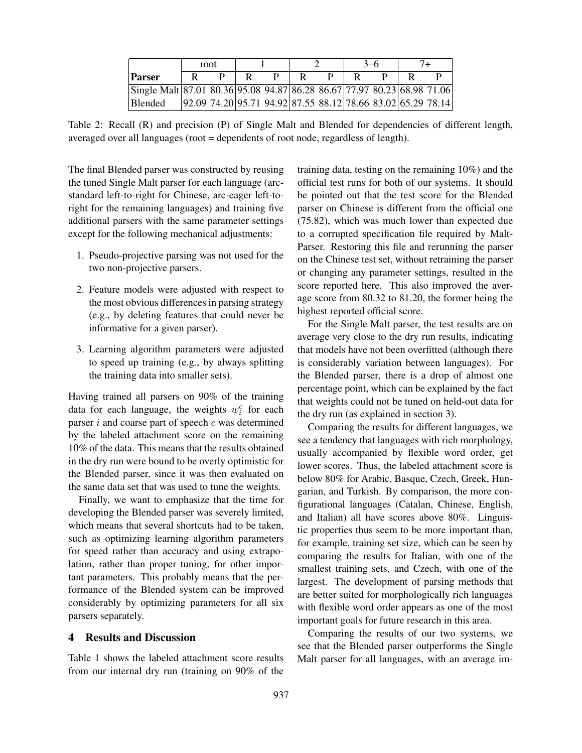|                                                                         | root |  |  |  |  | $3-6$ |  |  |                                                                 |
|-------------------------------------------------------------------------|------|--|--|--|--|-------|--|--|-----------------------------------------------------------------|
| Parser                                                                  |      |  |  |  |  |       |  |  |                                                                 |
| Single Malt 87.01 80.36 95.08 94.87 86.28 86.67 77.97 80.23 68.98 71.06 |      |  |  |  |  |       |  |  |                                                                 |
| Blended                                                                 |      |  |  |  |  |       |  |  | $ 92.09 74.20 95.71 94.92 87.55 88.12 78.66 83.02 65.29 78.14 $ |

Table 2: Recall (R) and precision (P) of Single Malt and Blended for dependencies of different length, averaged over all languages (root = dependents of root node, regardless of length).

The final Blended parser was constructed by reusing the tuned Single Malt parser for each language (arcstandard left-to-right for Chinese, arc-eager left-toright for the remaining languages) and training five additional parsers with the same parameter settings except for the following mechanical adjustments:

- 1. Pseudo-projective parsing was not used for the two non-projective parsers.
- 2. Feature models were adjusted with respect to the most obvious differences in parsing strategy (e.g., by deleting features that could never be informative for a given parser).
- 3. Learning algorithm parameters were adjusted to speed up training (e.g., by always splitting the training data into smaller sets).

Having trained all parsers on 90% of the training data for each language, the weights  $w_i^c$  for each parser  $i$  and coarse part of speech  $c$  was determined by the labeled attachment score on the remaining 10% of the data. This means that the results obtained in the dry run were bound to be overly optimistic for the Blended parser, since it was then evaluated on the same data set that was used to tune the weights.

Finally, we want to emphasize that the time for developing the Blended parser was severely limited, which means that several shortcuts had to be taken, such as optimizing learning algorithm parameters for speed rather than accuracy and using extrapolation, rather than proper tuning, for other important parameters. This probably means that the performance of the Blended system can be improved considerably by optimizing parameters for all six parsers separately.

## 4 Results and Discussion

Table 1 shows the labeled attachment score results from our internal dry run (training on 90% of the training data, testing on the remaining 10%) and the official test runs for both of our systems. It should be pointed out that the test score for the Blended parser on Chinese is different from the official one (75.82), which was much lower than expected due to a corrupted specification file required by Malt-Parser. Restoring this file and rerunning the parser on the Chinese test set, without retraining the parser or changing any parameter settings, resulted in the score reported here. This also improved the average score from 80.32 to 81.20, the former being the highest reported official score.

For the Single Malt parser, the test results are on average very close to the dry run results, indicating that models have not been overfitted (although there is considerably variation between languages). For the Blended parser, there is a drop of almost one percentage point, which can be explained by the fact that weights could not be tuned on held-out data for the dry run (as explained in section 3).

Comparing the results for different languages, we see a tendency that languages with rich morphology, usually accompanied by flexible word order, get lower scores. Thus, the labeled attachment score is below 80% for Arabic, Basque, Czech, Greek, Hungarian, and Turkish. By comparison, the more configurational languages (Catalan, Chinese, English, and Italian) all have scores above 80%. Linguistic properties thus seem to be more important than, for example, training set size, which can be seen by comparing the results for Italian, with one of the smallest training sets, and Czech, with one of the largest. The development of parsing methods that are better suited for morphologically rich languages with flexible word order appears as one of the most important goals for future research in this area.

Comparing the results of our two systems, we see that the Blended parser outperforms the Single Malt parser for all languages, with an average im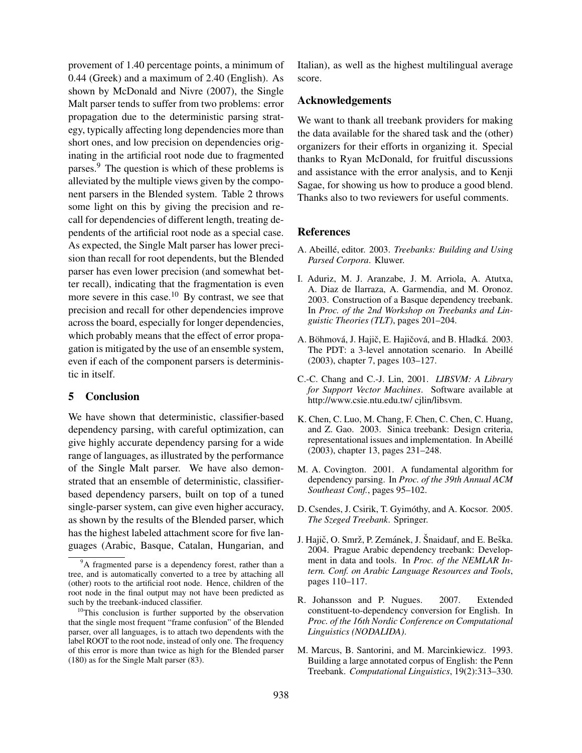provement of 1.40 percentage points, a minimum of 0.44 (Greek) and a maximum of 2.40 (English). As shown by McDonald and Nivre (2007), the Single Malt parser tends to suffer from two problems: error propagation due to the deterministic parsing strategy, typically affecting long dependencies more than short ones, and low precision on dependencies originating in the artificial root node due to fragmented parses.<sup>9</sup> The question is which of these problems is alleviated by the multiple views given by the component parsers in the Blended system. Table 2 throws some light on this by giving the precision and recall for dependencies of different length, treating dependents of the artificial root node as a special case. As expected, the Single Malt parser has lower precision than recall for root dependents, but the Blended parser has even lower precision (and somewhat better recall), indicating that the fragmentation is even more severe in this case.<sup>10</sup> By contrast, we see that precision and recall for other dependencies improve across the board, especially for longer dependencies, which probably means that the effect of error propagation is mitigated by the use of an ensemble system, even if each of the component parsers is deterministic in itself.

# 5 Conclusion

We have shown that deterministic, classifier-based dependency parsing, with careful optimization, can give highly accurate dependency parsing for a wide range of languages, as illustrated by the performance of the Single Malt parser. We have also demonstrated that an ensemble of deterministic, classifierbased dependency parsers, built on top of a tuned single-parser system, can give even higher accuracy, as shown by the results of the Blended parser, which has the highest labeled attachment score for five languages (Arabic, Basque, Catalan, Hungarian, and

Italian), as well as the highest multilingual average score.

#### Acknowledgements

We want to thank all treebank providers for making the data available for the shared task and the (other) organizers for their efforts in organizing it. Special thanks to Ryan McDonald, for fruitful discussions and assistance with the error analysis, and to Kenji Sagae, for showing us how to produce a good blend. Thanks also to two reviewers for useful comments.

#### References

- A. Abeillé, editor. 2003. *Treebanks: Building and Using Parsed Corpora*. Kluwer.
- I. Aduriz, M. J. Aranzabe, J. M. Arriola, A. Atutxa, A. Diaz de Ilarraza, A. Garmendia, and M. Oronoz. 2003. Construction of a Basque dependency treebank. In *Proc. of the 2nd Workshop on Treebanks and Linguistic Theories (TLT)*, pages 201–204.
- A. Böhmová, J. Hajič, E. Hajičová, and B. Hladká. 2003. The PDT: a 3-level annotation scenario. In Abeillé (2003), chapter 7, pages 103–127.
- C.-C. Chang and C.-J. Lin, 2001. *LIBSVM: A Library for Support Vector Machines*. Software available at http://www.csie.ntu.edu.tw/ cjlin/libsvm.
- K. Chen, C. Luo, M. Chang, F. Chen, C. Chen, C. Huang, and Z. Gao. 2003. Sinica treebank: Design criteria, representational issues and implementation. In Abeille´ (2003), chapter 13, pages 231–248.
- M. A. Covington. 2001. A fundamental algorithm for dependency parsing. In *Proc. of the 39th Annual ACM Southeast Conf.*, pages 95–102.
- D. Csendes, J. Csirik, T. Gyimóthy, and A. Kocsor. 2005. *The Szeged Treebank*. Springer.
- J. Hajič, O. Smrž, P. Zemánek, J. Šnaidauf, and E. Beška. 2004. Prague Arabic dependency treebank: Development in data and tools. In *Proc. of the NEMLAR Intern. Conf. on Arabic Language Resources and Tools*, pages 110–117.
- R. Johansson and P. Nugues. 2007. Extended constituent-to-dependency conversion for English. In *Proc. of the 16th Nordic Conference on Computational Linguistics (NODALIDA)*.
- M. Marcus, B. Santorini, and M. Marcinkiewicz. 1993. Building a large annotated corpus of English: the Penn Treebank. *Computational Linguistics*, 19(2):313–330.

<sup>&</sup>lt;sup>9</sup>A fragmented parse is a dependency forest, rather than a tree, and is automatically converted to a tree by attaching all (other) roots to the artificial root node. Hence, children of the root node in the final output may not have been predicted as such by the treebank-induced classifier.

 $10$ This conclusion is further supported by the observation that the single most frequent "frame confusion" of the Blended parser, over all languages, is to attach two dependents with the label ROOT to the root node, instead of only one. The frequency of this error is more than twice as high for the Blended parser (180) as for the Single Malt parser (83).